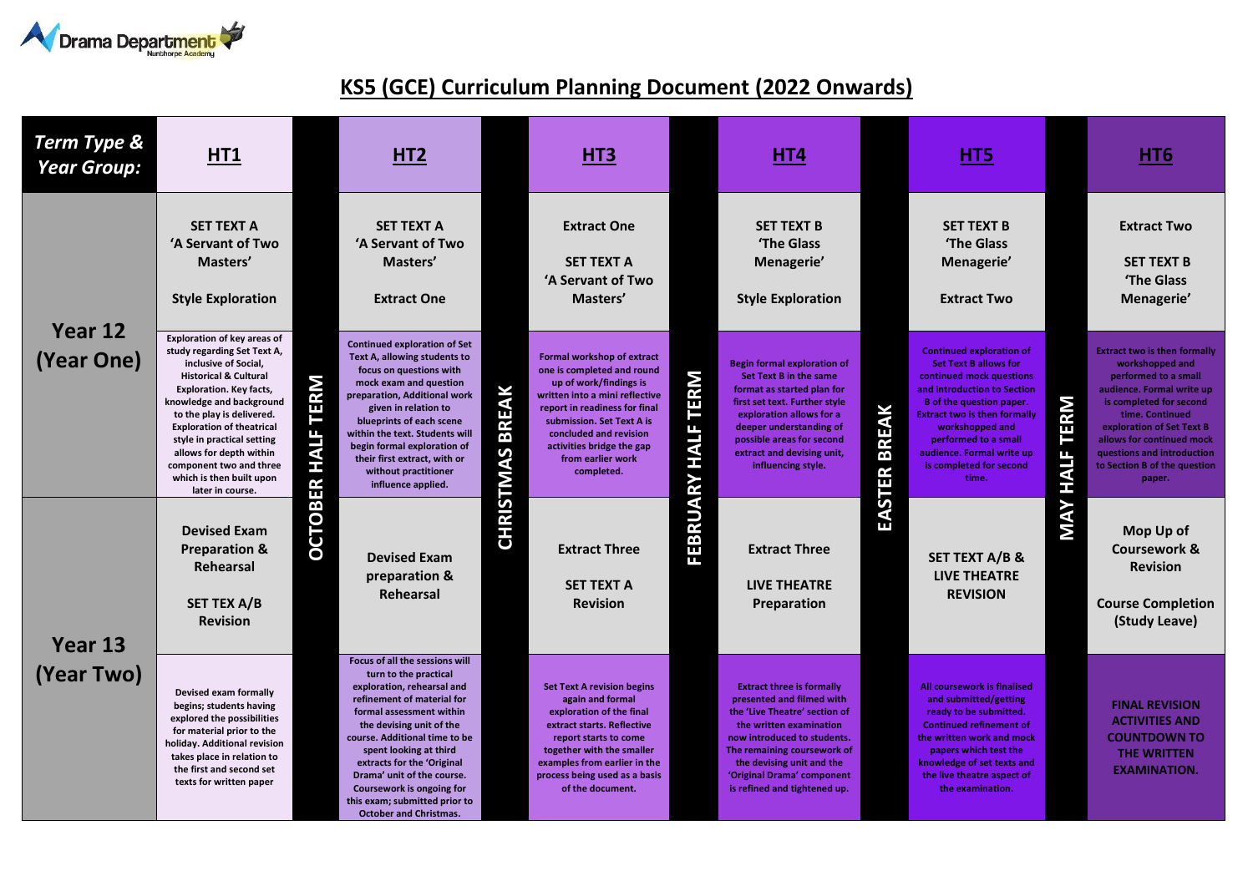

## **KS5 (GCE) Curriculum Planning Document (2022 Onwards)**

| Term Type &<br><b>Year Group:</b> | HT1                                                                                                                                                                                                                                                                                                                                                                                              |                          | HT <sub>2</sub>                                                                                                                                                                                                                                                                                                                                                                                   |                           | HT <sub>3</sub>                                                                                                                                                                                                                                                              |                                     | HT4                                                                                                                                                                                                                                                                                |                             | H <sub>T5</sub>                                                                                                                                                                                                                                                                                           |                                               | HT <sub>6</sub>                                                                                                                                                                                                                                                                             |
|-----------------------------------|--------------------------------------------------------------------------------------------------------------------------------------------------------------------------------------------------------------------------------------------------------------------------------------------------------------------------------------------------------------------------------------------------|--------------------------|---------------------------------------------------------------------------------------------------------------------------------------------------------------------------------------------------------------------------------------------------------------------------------------------------------------------------------------------------------------------------------------------------|---------------------------|------------------------------------------------------------------------------------------------------------------------------------------------------------------------------------------------------------------------------------------------------------------------------|-------------------------------------|------------------------------------------------------------------------------------------------------------------------------------------------------------------------------------------------------------------------------------------------------------------------------------|-----------------------------|-----------------------------------------------------------------------------------------------------------------------------------------------------------------------------------------------------------------------------------------------------------------------------------------------------------|-----------------------------------------------|---------------------------------------------------------------------------------------------------------------------------------------------------------------------------------------------------------------------------------------------------------------------------------------------|
| Year 12<br>(Year One)             | <b>SET TEXT A</b><br>'A Servant of Two<br>Masters'<br><b>Style Exploration</b>                                                                                                                                                                                                                                                                                                                   | <b>OCTOBER HALF TERM</b> | <b>SET TEXT A</b><br>'A Servant of Two<br>Masters'<br><b>Extract One</b>                                                                                                                                                                                                                                                                                                                          | <b>BREAK</b><br>CHRISTMAS | <b>Extract One</b><br><b>SET TEXT A</b><br>'A Servant of Two<br>Masters'                                                                                                                                                                                                     | ERM<br>Е<br><b>HALF</b><br>FEBRUARY | <b>SET TEXT B</b><br>'The Glass<br>Menagerie'<br><b>Style Exploration</b>                                                                                                                                                                                                          | EAK<br><b>BRI</b><br>EASTER | <b>SET TEXT B</b><br>'The Glass<br>Menagerie'<br><b>Extract Two</b>                                                                                                                                                                                                                                       | <b>TERM</b><br>щ<br><b>TIVH</b><br><b>MAY</b> | <b>Extract Two</b><br><b>SET TEXT B</b><br>'The Glass<br>Menagerie'                                                                                                                                                                                                                         |
|                                   | <b>Exploration of key areas of</b><br>study regarding Set Text A,<br>inclusive of Social,<br><b>Historical &amp; Cultural</b><br><b>Exploration. Key facts,</b><br>knowledge and background<br>to the play is delivered.<br><b>Exploration of theatrical</b><br>style in practical setting<br>allows for depth within<br>component two and three<br>which is then built upon<br>later in course. |                          | <b>Continued exploration of Set</b><br>Text A, allowing students to<br>focus on questions with<br>mock exam and question<br>preparation, Additional work<br>given in relation to<br>blueprints of each scene<br>within the text. Students will<br>begin formal exploration of<br>their first extract, with or<br>without practitioner<br>influence applied.                                       |                           | Formal workshop of extract<br>one is completed and round<br>up of work/findings is<br>written into a mini reflective<br>report in readiness for final<br>submission. Set Text A is<br>concluded and revision<br>activities bridge the gap<br>from earlier work<br>completed. |                                     | <b>Begin formal exploration of</b><br><b>Set Text B in the same</b><br>format as started plan for<br>first set text. Further style<br>exploration allows for a<br>deeper understanding of<br>possible areas for second<br>extract and devising unit,<br>influencing style.         |                             | <b>Continued exploration of</b><br><b>Set Text B allows for</b><br>continued mock questions<br>and introduction to Section<br>B of the question paper.<br><b>Extract two is then formally</b><br>workshopped and<br>performed to a small<br>audience. Formal write up<br>is completed for second<br>time. |                                               | <b>Extract two is then formally</b><br>workshopped and<br>performed to a small<br>audience. Formal write up<br>is completed for second<br>time. Continued<br>exploration of Set Text B<br>allows for continued mock<br>questions and introduction<br>to Section B of the question<br>paper. |
| Year 13<br>(Year Two)             | <b>Devised Exam</b><br><b>Preparation &amp;</b><br>Rehearsal<br><b>SET TEX A/B</b><br><b>Revision</b>                                                                                                                                                                                                                                                                                            |                          | <b>Devised Exam</b><br>preparation &<br><b>Rehearsal</b>                                                                                                                                                                                                                                                                                                                                          |                           | <b>Extract Three</b><br><b>SET TEXT A</b><br><b>Revision</b>                                                                                                                                                                                                                 |                                     | <b>Extract Three</b><br><b>LIVE THEATRE</b><br><b>Preparation</b>                                                                                                                                                                                                                  |                             | <b>SET TEXT A/B &amp;</b><br><b>LIVE THEATRE</b><br><b>REVISION</b>                                                                                                                                                                                                                                       |                                               | Mop Up of<br><b>Coursework &amp;</b><br><b>Revision</b><br><b>Course Completion</b><br>(Study Leave)                                                                                                                                                                                        |
|                                   | Devised exam formally<br>begins; students having<br>explored the possibilities<br>for material prior to the<br>holiday. Additional revision<br>takes place in relation to<br>the first and second set<br>texts for written paper                                                                                                                                                                 |                          | Focus of all the sessions will<br>turn to the practical<br>exploration, rehearsal and<br>refinement of material for<br>formal assessment within<br>the devising unit of the<br>course. Additional time to be<br>spent looking at third<br>extracts for the 'Original<br>Drama' unit of the course.<br>Coursework is ongoing for<br>this exam; submitted prior to<br><b>October and Christmas.</b> |                           | <b>Set Text A revision begins</b><br>again and formal<br>exploration of the final<br>extract starts. Reflective<br>report starts to come<br>together with the smaller<br>examples from earlier in the<br>process being used as a basis<br>of the document.                   |                                     | <b>Extract three is formally</b><br>presented and filmed with<br>the 'Live Theatre' section of<br>the written examination<br>now introduced to students.<br>The remaining coursework of<br>the devising unit and the<br>'Original Drama' component<br>is refined and tightened up. |                             | <b>All coursework is finalised</b><br>and submitted/getting<br>ready to be submitted.<br><b>Continued refinement of</b><br>the written work and mock<br>papers which test the<br>knowledge of set texts and<br>the live theatre aspect of<br>the examination.                                             |                                               | <b>FINAL REVISION</b><br><b>ACTIVITIES AND</b><br><b>COUNTDOWN TO</b><br>THE WRITTEN<br><b>EXAMINATION.</b>                                                                                                                                                                                 |